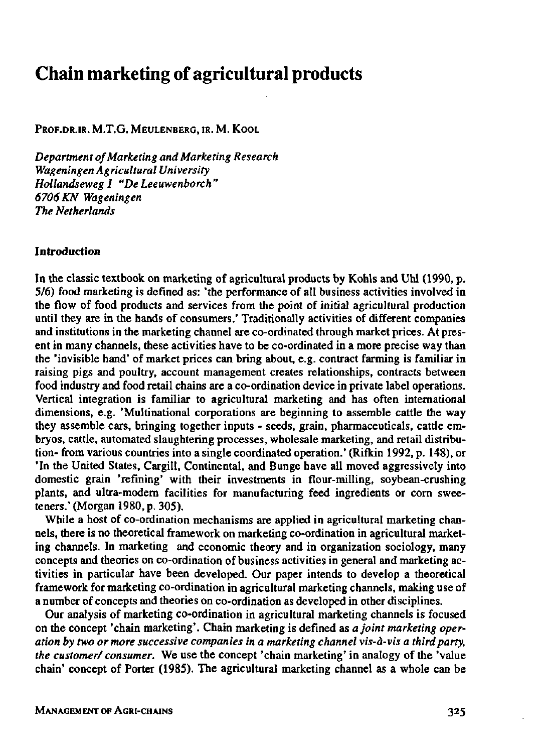# **Chain marketing of agricultural products**

[PROF.DR.IR.](http://Prof.dr.ir) M.T.G. MEULENBERG, IR. M. KOOL

*Department of Marketing and Marketing Research Wageningen Agricultural University Hollandseweg I "De Leeuwenhoren" 6706 KN Wageningen The Netherlands* 

#### Introduction

In the classic textbook on marketing of agricultural products by Kohls and Uhl (1990, p. 5/6) food marketing is defined as: 'the performance of all business activities involved in the flow of food products and services from the point of initial agricultural production until they are in the hands of consumers.' Traditionally activities of different companies and institutions in the marketing channel are co-ordinated through market prices. At present in many channels, these activities have to be co-ordinated in a more precise way than the 'invisible hand' of market prices can bring about, e.g. contract farming is familiar in raising pigs and poultry, account management creates relationships, contracts between food industry and food retail chains are a co-ordination device in private label operations. Vertical integration is familiar to agricultural marketing and has often international dimensions, e.g. 'Multinational corporations are beginning to assemble cattle the way they assemble cars, bringing together inputs - seeds, grain, pharmaceuticals, cattle embryos, cattle, automated slaughtering processes, wholesale marketing, and retail distribution- from various countries into a single coordinated operation.' (Rifkin 1992, p. 148), or 'In the United States, Cargill, Continental, and Bunge have all moved aggressively into domestic grain 'refining' with their investments in flour-milling, soybean-crushing plants, and ultra-modern facilities for manufacturing feed ingredients or corn sweeteners.' (Morgan 1980, p. 305).

While a host of co-ordination mechanisms are applied in agricultural marketing channels, there is no theoretical framework on marketing co-ordination in agricultural marketing channels. In marketing and economic theory and in organization sociology, many concepts and theories on co-ordination of business activities in general and marketing activities in particular have been developed. Our paper intends to develop a theoretical framework for marketing co-ordination in agricultural marketing channels, making use of a number of concepts and theories on co-ordination as developed in other disciplines.

Our analysis of marketing co-ordination in agricultural marketing channels is focused on the concept 'chain marketing'. Chain marketing is defined as *a joint marketing operation by two or more successive companies in a marketing channel vis-à-vis a third party, the customer/ consumer.* We use the concept 'chain marketing' in analogy of the 'value chain' concept of Porter (1985). The agricultural marketing channel as a whole can be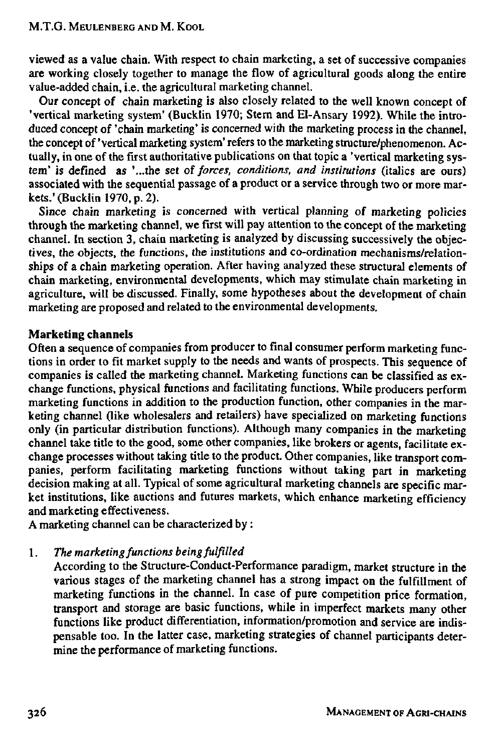viewed as a value chain. With respect to chain marketing, a set of successive companies are working closely together to manage the flow of agricultural goods along the entire value-added chain, i.e. the agricultural marketing channel.

Our concept of chain marketing is also closely related to the well known concept of 'vertical marketing system' (Bucklin 1970; Stern and El-Ansary 1992). While the introduced concept of 'chain marketing' is concerned with the marketing process in the channel, the concept of 'vertical marketing system' refers to the marketing structure/phenomenon. Actually, in one of the first authoritative publications on that topic a 'vertical marketing system' is defined as '...the set *of forces, conditions, and institutions* (italics are ours) associated with the sequential passage of a product or a service through two or more markets.' (Bucklin 1970, p. 2).

Since chain marketing is concerned with vertical planning of marketing policies through the marketing channel, we first will pay attention to the concept of the marketing channel. In section 3, chain marketing is analyzed by discussing successively the objectives, the objects, the functions, the institutions and co-ordination mechanisms/relationships of a chain marketing operation. After having analyzed these structural elements of chain marketing, environmental developments, which may stimulate chain marketing in agriculture, will be discussed. Finally, some hypotheses about the development of chain marketing are proposed and related to the environmental developments.

## Marketing channels

Often a sequence of companies from producer to final consumer perform marketing functions in order to fit market supply to the needs and wants of prospects. This sequence of companies is called the marketing channel. Marketing functions can be classified as exchange functions, physical functions and facilitating functions. While producers perform marketing functions in addition to the production function, other companies in the marketing channel (like wholesalers and retailers) have specialized on marketing functions only (in particular distribution functions). Although many companies in the marketing channel take title to the good, some other companies, like brokers or agents, facilitate exchange processes without taking title to the product. Other companies, like transport companies, perform facilitating marketing functions without taking part in marketing decision making at all. Typical of some agricultural marketing channels are specific market institutions, like auctions and futures markets, which enhance marketing efficiency and marketing effectiveness.

A marketing channel can be characterized by :

1. *The marketing functions being fulfilled* 

According to the Structure-Conduct-Performance paradigm, market structure in the various stages of the marketing channel has a strong impact on the fulfillment of marketing functions in the channel. In case of pure competition price formation, transport and storage are basic functions, while in imperfect markets many other functions like product differentiation, information/promotion and service are indispensable too. In the latter case, marketing strategies of channel participants determine the performance of marketing functions.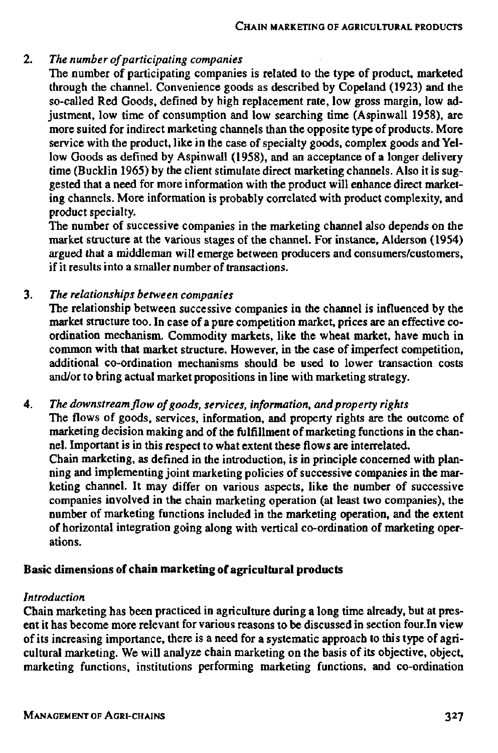## 2. *The number of participating companies*

The number of participating companies is related to the type of product, marketed through the channel. Convenience goods as described by Copeland (1923) and the so-called Red Goods, defined by high replacement rate, low gross margin, low adjustment, low time of consumption and low searching time (Aspinwall 1958), are more suited for indirect marketing channels than the opposite type of products. More service with the product, like in the case of specialty goods, complex goods and Yellow Goods as defined by Aspinwall (1958), and an acceptance of a longer delivery time (Bucklin 1965) by the client stimulate direct marketing channels. Also it is suggested that a need for more information with the product will enhance direct marketing channels. More information is probably correlated with product complexity, and product specialty.

The number of successive companies in the marketing channel also depends on the market structure at the various stages of the channel. For instance, Alderson (1954) argued that a middleman will emerge between producers and consumers/customers, if it results into a smaller number of transactions.

3. *The relationships between companies* 

The relationship between successive companies in the channel is influenced by the market structure too. In case of a pure competition market, prices are an effective coordination mechanism. Commodity markets, like the wheat market, have much in common with that market structure. However, in the case of imperfect competition, additional co-ordination mechanisms should be used to lower transaction costs and/or to bring actual market propositions in line with marketing strategy.

4. *The downstream flow of goods, services, information, and property rights*  The flows of goods, services, information, and property rights are the outcome of marketing decision making and of the fulfillment of marketing functions in the channel. Important is in this respect to what extent these flows are interrelated. Chain marketing, as defined in the introduction, is in principle concerned with planning and implementing joint marketing policies of successive companies in the marketing channel. It may differ on various aspects, like the number of successive companies involved in the chain marketing operation (at least two companies), the number of marketing functions included in the marketing operation, and the extent of horizontal integration going along with vertical co-ordination of marketing operations.

## Basic dimensions of chain marketing of agricultural products

#### *Introduction*

Chain marketing has been practiced in agriculture during a long time already, but at present it has become more relevant for various reasons to be discussed in section four.In view of its increasing importance, there is a need for a systematic approach to this type of agricultural marketing. We will analyze chain marketing on the basis of its objective, object, marketing functions, institutions performing marketing functions, and co-ordination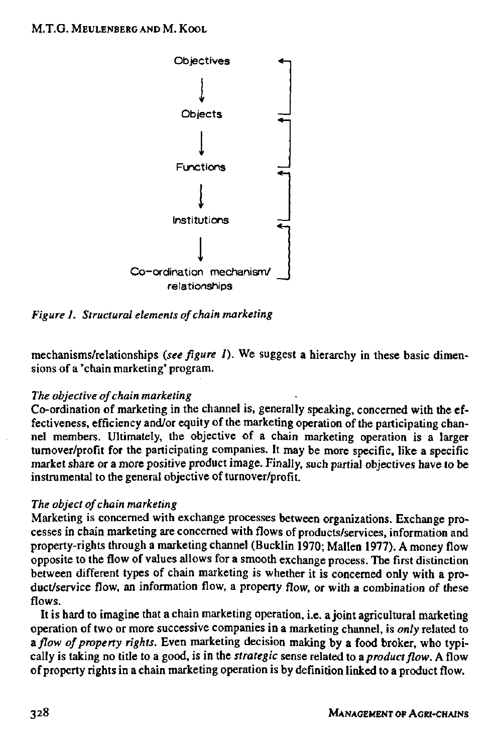

*Figure 1. Structural elements of chain marketing* 

mechanisms/relationships *(see figure 1).* We suggest a hierarchy in these basic dimensions of a 'chain marketing' program.

## *The objective of chain marketing*

Co-ordination of marketing in the channel is, generally speaking, concerned with the effectiveness, efficiency and/or equity of the marketing operation of the participating channel members. Ultimately, the objective of a chain marketing operation is a larger turnover/profit for the participating companies. It may be more specific, like a specific market share or a more positive product image. Finally, such partial objectives have to be instrumental to the general objective of turnover/profit.

## *The object of chain marketing*

Marketing is concerned with exchange processes between organizations. Exchange processes in chain marketing are concerned with flows of products/services, information and property-rights through a marketing channel (Bucklin 1970; Mallen 1977). A money flow opposite to the flow of values allows for a smooth exchange process. The first distinction between different types of chain marketing is whether it is concerned only with a product/service flow, an information flow, a property flow, or with a combination of these flows.

It is hard to imagine that a chain marketing operation, i.e. a joint agricultural marketing operation of two or more successive companies in a marketing channel, is *only* related to a *flow of property rights.* Even marketing decision making by a food broker, who typically is taking no title to a good, is in the *strategic* sense related to *a product flow.* A flow of property rights in a chain marketing operation is by definition linked to a product flow.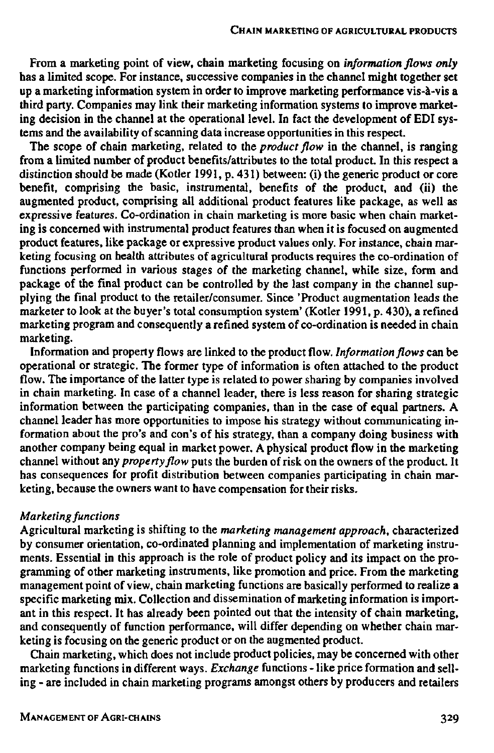From a marketing point of view, chain marketing focusing on *information flows only*  has a limited scope. For instance, successive companies in the channel might together set up a marketing information system in order to improve marketing performance vis-à-vis a third party. Companies may link their marketing information systems to improve marketing decision in the channel at the operational level. In fact the development of EDI systems and the availability of scanning data increase opportunities in this respect.

The scope of chain marketing, related to the *product flow* in the channel, is ranging from a limited number of product benefits/attributes to the total product. In this respect a distinction should be made (Kotier 1991, p. 431) between: (i) the generic product or core benefit, comprising the basic, instrumental, benefits of the product, and (ii) the augmented product, comprising all additional product features like package, as well as expressive features. Co-ordination in chain marketing is more basic when chain marketing is concerned with instrumental product features than when it is focused on augmented product features, like package or expressive product values only. For instance, chain marketing focusing on health attributes of agricultural products requires the co-ordination of functions performed in various stages of the marketing channel, while size, form and package of the final product can be controlled by the last company in the channel supplying the final product to the retailer/consumer. Since 'Product augmentation leads the marketer to look at the buyer's total consumption system' (Kotier 1991, p. 430), a refined marketing program and consequently a refined system of co-ordination is needed in chain marketing.

Information and property flows are linked to the product flow. *Information flows* can be operational or strategic. The former type of information is often attached to the product flow. The importance of the latter type is related to power sharing by companies involved in chain marketing. In case of a channel leader, there is less reason for sharing strategic information between the participating companies, than in the case of equal partners. A channel leader has more opportunities to impose his strategy without communicating information about the pro's and con's of his strategy, than a company doing business with another company being equal in market power. A physical product flow in the marketing channel without any *property flow* puts the burden of risk on the owners of the product. It has consequences for profit distribution between companies participating in chain marketing, because the owners want to have compensation for their risks.

#### *Marketing functions*

Agricultural marketing is shifting to the *marketing management approach,* characterized by consumer orientation, co-ordinated planning and implementation of marketing instruments. Essential in this approach is the role of product policy and its impact on the programming of other marketing instruments, like promotion and price. From the marketing management point of view, chain marketing functions are basically performed to realize a specific marketing mix. Collection and dissemination of marketing information is important in this respect. It has already been pointed out that the intensity of chain marketing, and consequently of function performance, will differ depending on whether chain marketing is focusing on the generic product or on the augmented product.

Chain marketing, which does not include product policies, may be concerned with other marketing functions in different ways. *Exchange* functions - like price formation and selling - are included in chain marketing programs amongst others by producers and retailers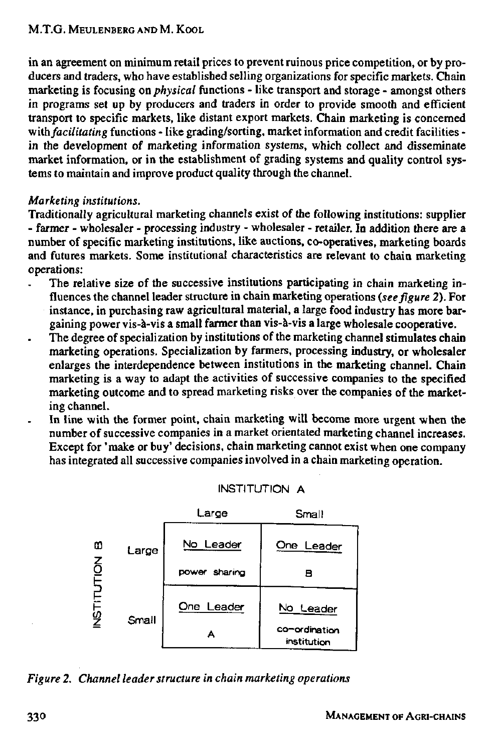in an agreement on minimum retail prices to prevent ruinous price competition, or by producers and traders, who have established selling organizations for specific markets. Chain marketing is focusing on *physical* functions - like transport and storage - amongst others in programs set up by producers and traders in order to provide smooth and efficient transport to specific markets, like distant export markets. Chain marketing is concerned with *facilitating* functions - like grading/sorting, market information and credit facilities in the development of marketing information systems, which collect and disseminate market information, or in the establishment of grading systems and quality control systems to maintain and improve product quality through the channel.

# *Marketing institutions.*

Traditionally agricultural marketing channels exist of the following institutions: supplier - farmer - wholesaler - processing industry - wholesaler - retailer. In addition there are a number of specific marketing institutions, like auctions, co-operatives, marketing boards and futures markets. Some institutional characteristics are relevant to chain marketing operations:

- The relative size of the successive institutions participating in chain marketing influences the channel leader structure in chain marketing operations *(see figure* 2). For instance, in purchasing raw agricultural material, a large food industry has more bargaining power vis-à-vis a small farmer than vis-à-vis a large wholesale cooperative.
- The degree of specialization by institutions of the marketing channel stimulates chain marketing operations. Specialization by farmers, processing industry, or wholesaler enlarges the interdependence between institutions in the marketing channel. Chain marketing is a way to adapt the activities of successive companies to the specified marketing outcome and to spread marketing risks over the companies of the marketing channel.
- In line with the former point, chain marketing will become more urgent when the number of successive companies in a market orientated marketing channel increases. Except for 'make or buy' decisions, chain marketing cannot exist when one company has integrated all successive companies involved in a chain marketing operation.



## INSTITUTION A

## *Figure 2. Channel leader structure in chain marketing operations*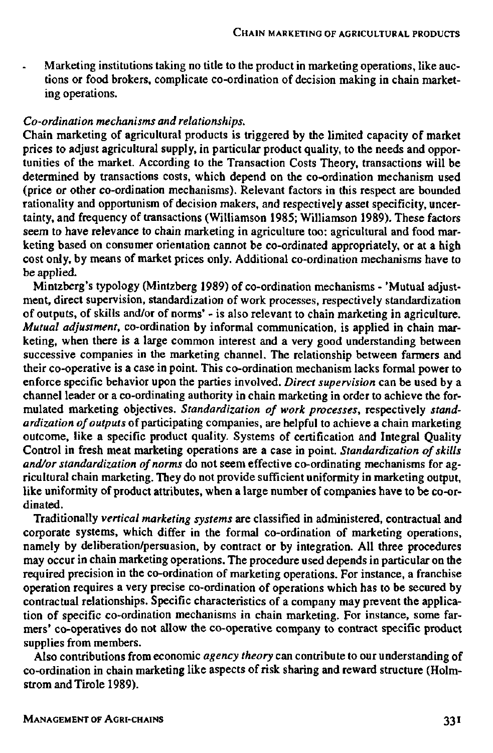Marketing institutions taking no title to the product in marketing operations, like auc- $\overline{a}$ tions or food brokers, complicate co-ordination of decision making in chain marketing operations.

# *Co-ordination mechanisms and relationships.*

Chain marketing of agricultural products is triggered by the limited capacity of market prices to adjust agricultural supply, in particular product quality, to the needs and opportunities of the market. According to the Transaction Costs Theory, transactions will be determined by transactions costs, which depend on the co-ordination mechanism used (price or other co-ordination mechanisms). Relevant factors in this respect are bounded rationality and opportunism of decision makers, and respectively asset specificity, uncertainty, and frequency of transactions (Williamson 1985; Williamson 1989). These factors seem to have relevance to chain marketing in agriculture too: agricultural and food marketing based on consumer orientation cannot be co-ordinated appropriately, or at a high cost only, by means of market prices only. Additional co-ordination mechanisms have to be applied.

Mintzberg's typology (Mintzberg 1989) of co-ordination mechanisms - 'Mutual adjustment, direct supervision, standardization of work processes, respectively standardization of outputs, of skills and/or of norms' - is also relevant to chain marketing in agriculture. *Mutual adjustment,* co-ordination by informal communication, is applied in chain marketing, when there is a large common interest and a very good understanding between successive companies in the marketing channel. The relationship between farmers and their co-operative is a case in point. This co-ordination mechanism lacks formal power to enforce specific behavior upon the parties involved. *Direct supervision* can be used by a channel leader or a co-ordinating authority in chain marketing in order to achieve the formulated marketing objectives. *Standardization of work processes,* respectively *standardization of outputs* of participating companies, are helpful to achieve a chain marketing outcome, like a specific product quality. Systems of certification and Integral Quality Control in fresh meat marketing operations are a case in point. *Standardization of skills and/or standardization of norms* do not seem effective co-ordinating mechanisms for agricultural chain marketing. They do not provide sufficient uniformity in marketing output, like uniformity of product attributes, when a large number of companies have to be co-ordinated.

Traditionally *vertical marketing systems* are classified in administered, contractual and corporate systems, which differ in the formal co-ordination of marketing operations, namely by deliberation/persuasion, by contract or by integration. All three procedures may occur in chain marketing operations. The procedure used depends in particular on the required precision in the co-ordination of marketing operations. For instance, a franchise operation requires a very precise co-ordination of operations which has to be secured by contractual relationships. Specific characteristics of a company may prevent the application of specific co-ordination mechanisms in chain marketing. For instance, some farmers' co-operatives do not allow the co-operative company to contract specific product supplies from members.

Also contributions from economic *agency theory* can contribute to our understanding of co-ordination in chain marketing like aspects of risk sharing and reward structure (Holmstrom and Tirole 1989).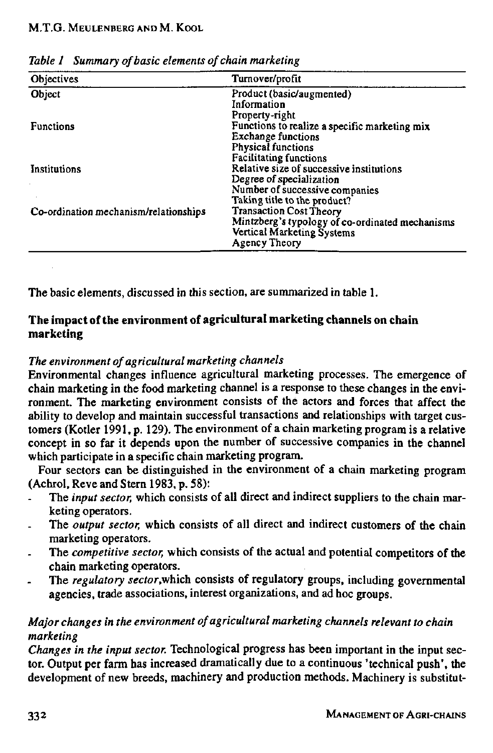| Objectives                            | Turnover/profit                                 |
|---------------------------------------|-------------------------------------------------|
| Object                                | Product (basic/augmented)                       |
|                                       | Information                                     |
|                                       | Property-right                                  |
| <b>Functions</b>                      | Functions to realize a specific marketing mix   |
|                                       | <b>Exchange functions</b>                       |
|                                       | Physical functions                              |
|                                       | <b>Facilitating functions</b>                   |
| Institutions                          | Relative size of successive institutions        |
|                                       | Degree of specialization                        |
|                                       | Number of successive companies                  |
|                                       | Taking title to the product?                    |
| Co-ordination mechanism/relationships | <b>Transaction Cost Theory</b>                  |
|                                       | Mintzberg's typology of co-ordinated mechanisms |
|                                       | Vertical Marketing Systems                      |
|                                       | Agency Theory                                   |

*Table 1 Summary of basic elements of chain marketing* 

The basic elements, discussed in this section, are summarized in table **1.** 

# **The impact of the environment of agricultural marketing channels on chain marketing**

# *The environment of agricultural marketing channels*

Environmental changes influence agricultural marketing processes. The emergence of chain marketing in the food marketing channel is a response to these changes in the environment. The marketing environment consists of the actors and forces that affect the ability to develop and maintain successful transactions and relationships with target customers (Kotier 1991, p. 129). The environment of a chain marketing program is a relative concept in so far it depends upon the number of successive companies in the channel which participate in a specific chain marketing program.

Four sectors can be distinguished in the environment of a chain marketing program (Achrol, Reve and Stern 1983, p. 58):

- The *input sector,* which consists of all direct and indirect suppliers to the chain marketing operators.
- The *output sector,* which consists of all direct and indirect customers of the chain marketing operators.
- The *competitive sector,* which consists of the actual and potential competitors of the chain marketing operators.
- The *regulatory sector,which* consists of regulatory groups, including governmental agencies, trade associations, interest organizations, and ad hoc groups.

# *Major changes in the environment of agricultural marketing channels relevant to chain marketing*

*Changes in the input sector.* Technological progress has been important in the input sector. Output per farm has increased dramatically due to a continuous 'technical push', the development of new breeds, machinery and production methods. Machinery is substitut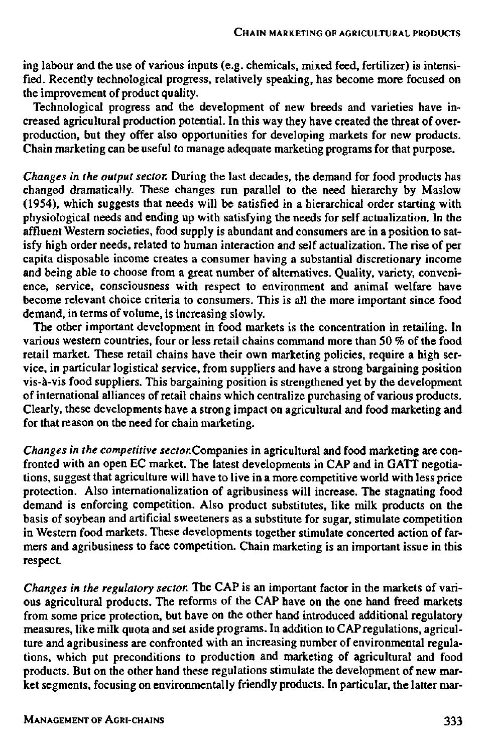ing labour and the use of various inputs (e.g. chemicals, mixed feed, fertilizer) is intensified. Recently technological progress, relatively speaking, has become more focused on the improvement of product quality.

Technological progress and the development of new breeds and varieties have creased agricultural production potential. In this way they have created the threat production, but they offer also opportunities for developing markets for new pr Chain marketing can be useful to manage adequate marketing programs for that purpose.

*Changes in the output sector.* During the last decades, the demand for food products has changed dramatically. These changes run parallel to the need hierarchy by M (1954), which suggests that needs will be satisfied in a hierarchical order start physiological needs and ending up with satisfying the needs for self actualizatio affluent Western societies, food supply is abundant and consumers are in a positiisfy high order needs, related to human interaction and self actualization. The  $\vec{n}$ capita disposable income creates a consumer having a substantial discretionary i and being able to choose from a great number of alternatives. Quality, variety, o ence, service, consciousness with respect to environment and animal welfare become relevant choice criteria to consumers. This is all the more important sin demand, in terms of volume, is increasing slowly.

The other important development in food markets is the concentration in retailing. In various western countries, four or less retail chains command more than 50 % of the food retail market. These retail chains have their own marketing policies, require a high service, in particular logistical service, from suppliers and have a strong bargaining position. vis-à-vis food suppliers. This bargaining position is strengthened yet by the development of international alliances of retail chains which centralize purchasing of various pr Clearly, these developments have a strong impact on agricultural and food marketing and for that reason on the need for chain marketing.

*Changes in the competitive sector.* Companies in agricultural and food marketing are confronted with an open EC market. The latest developments in CAP and in GATT tions, suggest that agriculture will have to live in a more competitive world with protection. Also internationalization of agribusiness will increase. The stagnating demand is enforcing competition. Also product substitutes, like milk products basis of soybean and artificial sweeteners as a substitute for sugar, stimulate com in Western food markets. These developments together stimulate concerted action mers and agribusiness to face competition. Chain marketing is an important issu respect.

*Changes in the regulatory sector.* The CAP is an important factor in the markets ous agricultural products. The reforms of the CAP have on the one hand freed from some price protection, but have on the other hand introduced additional reg measures, like milk quota and set aside programs. In addition to CAP regulations, ture and agribusiness are confronted with an increasing number of environmental tions, which put preconditions to production and marketing of agricultural an products. But on the other hand these regulations stimulate the development of  $n$ ket segments, focusing on environmentally friendly products. In particular, the latter mar-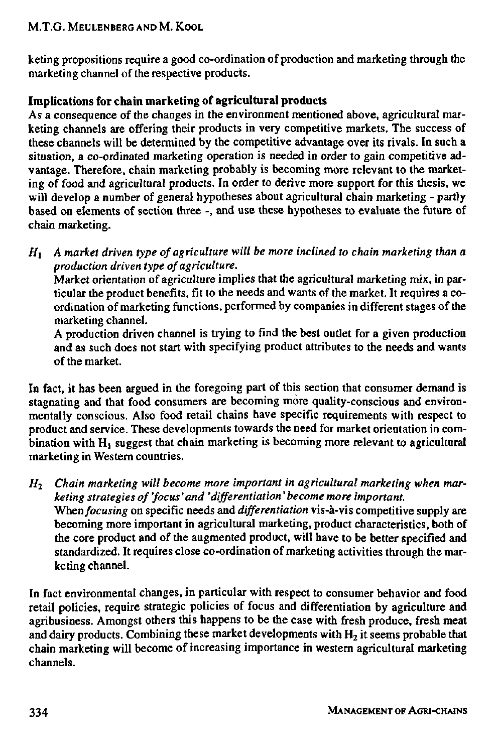# M.T.G. MEULENBERG AND M. KOOL

keting propositions require a good co-ordination of production and marketing through the marketing channel of the respective products.

# Implications for chain marketing of agricultural products

As a consequence of the changes in the environment mentioned above, agricultural marketing channels are offering their products in very competitive markets. The success of these channels will be determined by the competitive advantage over its rivals. In such a situation, a co-ordinated marketing operation is needed in order to gain competitive advantage. Therefore, chain marketing probably is becoming more relevant to the marketing of food and agricultural products. In order to derive more support for this thesis, we will develop a number of general hypotheses about agricultural chain marketing - partly based on elements of section three -, and use these hypotheses to evaluate the future of chain marketing.

 $H_1$  A market driven type of agriculture will be more inclined to chain marketing than a *production driven type of agriculture.* 

Market orientation of agriculture implies that the agricultural marketing mix, in particular the product benefits, fit to the needs and wants of the market. It requires a coordination of marketing functions, performed by companies in different stages of the marketing channel.

A production driven channel is trying to find the best outlet for a given production and as such does not start with specifying product attributes to the needs and wants of the market.

In fact, it has been argued in the foregoing part of this section that consumer demand is stagnating and that food consumers are becoming more quality-conscious and environmentally conscious. Also food retail chains have specific requirements with respect to product and service. These developments towards the need for market orientation in combination with H<sub>1</sub> suggest that chain marketing is becoming more relevant to agricultural marketing in Western countries.

*H2 Chain marketing will become more important in agricultural marketing when marketing strategies of 'focus'and 'differentiation'become more important. Whenfocusing* on specific needs and *differentiation* vis-à-vis competitive supply are becoming more important in agricultural marketing, product characteristics, both of the core product and of the augmented product, will have to be better specified and standardized. It requires close co-ordination of marketing activities through the marketing channel.

In fact environmental changes, in particular with respect to consumer behavior and food retail policies, require strategic policies of focus and differentiation by agriculture and agribusiness. Amongst others this happens to be the case with fresh produce, fresh meat and dairy products. Combining these market developments with  $H_2$  it seems probable that chain marketing will become of increasing importance in western agricultural marketing channels.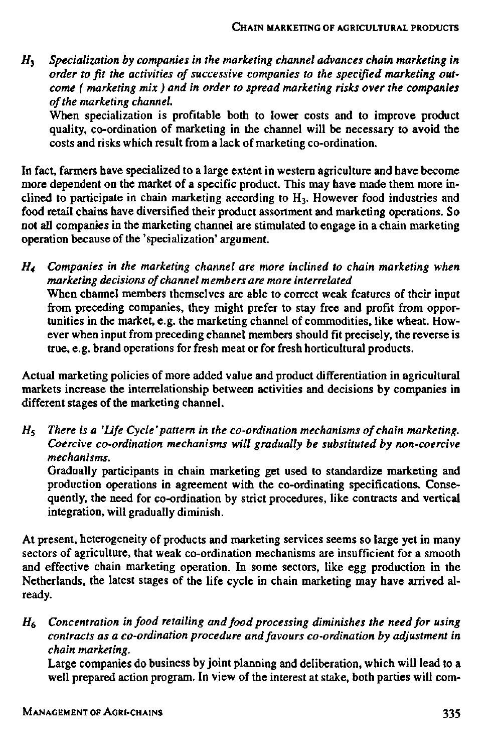*H3 Specialization by companies in the marketing channel advances chain marketing in order to fit the activities of successive companies to the specified marketing outcome ( marketing mix ) and in order to spread marketing risks over the companies of the marketing channel.* 

When specialization is profitable both to lower costs and to improve product quality, co-ordination of marketing in the channel will be necessary to avoid the costs and risks which result from a lack of marketing co-ordination.

In fact, farmers have specialized to a large extent in western agriculture and have become more dependent on the market of a specific product. This may have made them more inclined to participate in chain marketing according to H3. However food industries and food retail chains have diversified their product assortment and marketing operations. So not all companies in the marketing channel are stimulated to engage in a chain marketing operation because of the 'specialization' argument.

*H4 Companies in the marketing channel are more inclined to chain marketing when marketing decisions of channel members are more interrelated*  When channel members themselves are able to correct weak features of their input from preceding companies, they might prefer to stay free and profit from opportunities in the market, e.g. the marketing channel of commodities, like wheat. However when input from preceding channel members should fit precisely, the reverse is true, e.g. brand operations for fresh meat or for fresh horticultural products.

Actual marketing policies of more added value and product differentiation in agricultural markets increase the interrelationship between activities and decisions by companies in different stages of the marketing channel.

*Hi There is a 'Life Cycle' pattern in the co-ordination mechanisms of chain marketing. Coercive co-ordination mechanisms will gradually be substituted by non-coercive mechanisms.* 

Gradually participants in chain marketing get used to standardize marketing and production operations in agreement with the co-ordinating specifications. Consequently, the need for co-ordination by strict procedures, like contracts and vertical integration, will gradually diminish.

At present, heterogeneity of products and marketing services seems so large yet in many sectors of agriculture, that weak co-ordination mechanisms are insufficient for a smooth and effective chain marketing operation. In some sectors, like egg production in the Netherlands, the latest stages of the life cycle in chain marketing may have arrived already.

*H6 Concentration in food retailing and food processing diminishes the need for using contracts as a co-ordination procedure and favours co-ordination by adjustment in chain marketing.* 

Large companies do business by joint planning and deliberation, which will lead to a well prepared action program. In view of the interest at stake, both parties will com-